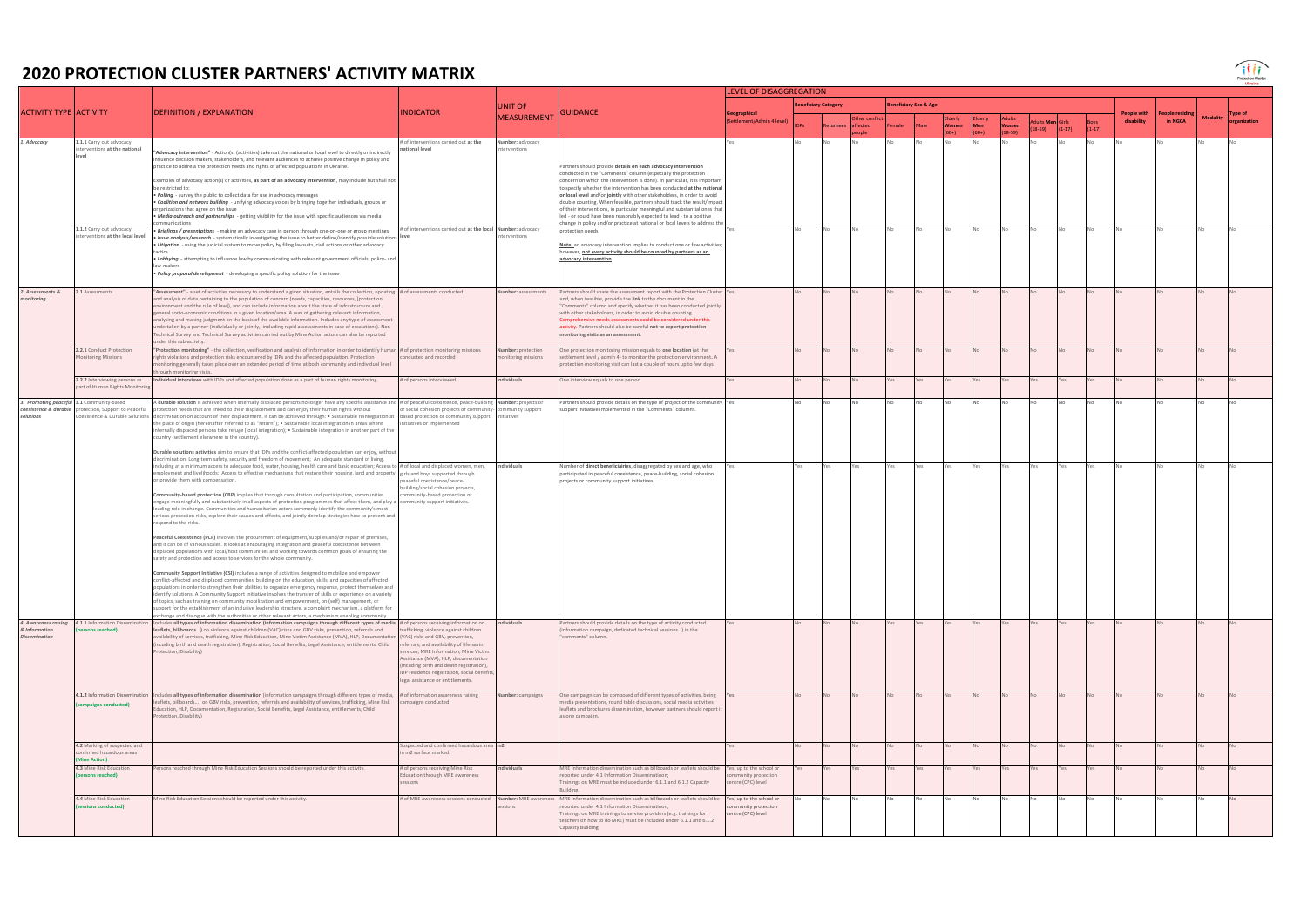## **2020 PROTECTION CLUSTER PARTNERS' ACTIVITY MATRIX**

|                                       |                                                                                                                                       |                                                                                                                                                                                                                                                                                                                                                                                                                                                                                                                                                                                                                                                                                                                                                                                                                                                                                                                                                                                                                                                                                                                                                                                                                                                                                                                                                                                                                                                                                                                                                                                                                                                                                                                                                                                                                                                                                                                                                                   |                                                                                                                                                                                                                                                                                                                                            |                                          | <b>LEVEL OF DISAGGREGATION</b>                                                                                                                                                                                                                                                                                                                                                                                                                                                                                                                                                                                                                                                 |                                                                     |     |                             |                          |     |                                  |                        |                           |                           |                             |                |                         |                           |                          |                 |              |
|---------------------------------------|---------------------------------------------------------------------------------------------------------------------------------------|-------------------------------------------------------------------------------------------------------------------------------------------------------------------------------------------------------------------------------------------------------------------------------------------------------------------------------------------------------------------------------------------------------------------------------------------------------------------------------------------------------------------------------------------------------------------------------------------------------------------------------------------------------------------------------------------------------------------------------------------------------------------------------------------------------------------------------------------------------------------------------------------------------------------------------------------------------------------------------------------------------------------------------------------------------------------------------------------------------------------------------------------------------------------------------------------------------------------------------------------------------------------------------------------------------------------------------------------------------------------------------------------------------------------------------------------------------------------------------------------------------------------------------------------------------------------------------------------------------------------------------------------------------------------------------------------------------------------------------------------------------------------------------------------------------------------------------------------------------------------------------------------------------------------------------------------------------------------|--------------------------------------------------------------------------------------------------------------------------------------------------------------------------------------------------------------------------------------------------------------------------------------------------------------------------------------------|------------------------------------------|--------------------------------------------------------------------------------------------------------------------------------------------------------------------------------------------------------------------------------------------------------------------------------------------------------------------------------------------------------------------------------------------------------------------------------------------------------------------------------------------------------------------------------------------------------------------------------------------------------------------------------------------------------------------------------|---------------------------------------------------------------------|-----|-----------------------------|--------------------------|-----|----------------------------------|------------------------|---------------------------|---------------------------|-----------------------------|----------------|-------------------------|---------------------------|--------------------------|-----------------|--------------|
|                                       |                                                                                                                                       |                                                                                                                                                                                                                                                                                                                                                                                                                                                                                                                                                                                                                                                                                                                                                                                                                                                                                                                                                                                                                                                                                                                                                                                                                                                                                                                                                                                                                                                                                                                                                                                                                                                                                                                                                                                                                                                                                                                                                                   |                                                                                                                                                                                                                                                                                                                                            | UNIT OF                                  |                                                                                                                                                                                                                                                                                                                                                                                                                                                                                                                                                                                                                                                                                |                                                                     |     | <b>Beneficiary Category</b> |                          |     | <b>Beneficiary Sex &amp; Age</b> |                        |                           |                           |                             |                |                         |                           |                          |                 |              |
| <b>ACTIVITY TYPE ACTIVITY</b>         |                                                                                                                                       | DEFINITION / EXPLANATION                                                                                                                                                                                                                                                                                                                                                                                                                                                                                                                                                                                                                                                                                                                                                                                                                                                                                                                                                                                                                                                                                                                                                                                                                                                                                                                                                                                                                                                                                                                                                                                                                                                                                                                                                                                                                                                                                                                                          | <b>INDICATOR</b>                                                                                                                                                                                                                                                                                                                           | <b>MEASUREMENT</b>                       | GUIDANCE                                                                                                                                                                                                                                                                                                                                                                                                                                                                                                                                                                                                                                                                       | eographical<br>ettlement/Admin 4 level                              |     |                             | Other confli<br>affected |     |                                  | Elderl<br><b>Womer</b> | Elderly<br>Men<br>$(60+)$ | <b>Women</b><br>$(18-59)$ | ults Men Girls<br>$(18-59)$ | $(1-17)$       | <b>Boys</b><br>$(1-17)$ | People with<br>disability | eople residir<br>in NGCA | <b>Modality</b> | organization |
| 1. Advocacy                           | 1.1.1 Carry out advocacy<br>nterventions at the national                                                                              | "Advocacy intervention" - Action(s) (activities) taken at the national or local level to directly or indirectly<br>nfluence decision makers, stakeholders, and relevant audiences to achieve positive change in policy and<br>practice to address the protection needs and rights of affected populations in Ukraine.<br>Examples of advocacy action(s) or activities, as part of an advocacy intervention, may include but shall not<br>be restricted to:<br>Polling - survey the public to collect data for use in advocacy messages<br>. Coalition and network building - unifying advocacy voices by bringing together individuals, groups or<br>organizations that agree on the issue<br>Media outreach and partnerships - getting visibility for the issue with specific audiences via media<br>ommunications                                                                                                                                                                                                                                                                                                                                                                                                                                                                                                                                                                                                                                                                                                                                                                                                                                                                                                                                                                                                                                                                                                                                               | of interventions carried out at the<br>national level                                                                                                                                                                                                                                                                                      | Number: advocacy<br>nterventions         | Partners should provide details on each advocacy intervention<br>onducted in the "Comments" column (especially the protection<br>concern on which the intervention is done). In particular, it is important<br>to specify whether the intervention has been conducted at the national<br>or local level and/or jointly with other stakeholders, in order to avoid<br>double counting. When feasible, partners should track the result/impac<br>of their interventions, in particular meaningful and substantial ones that<br>led - or could have been reasonably expected to lead - to a positive<br>hange in policy and/or practice at national or local levels to address th |                                                                     |     |                             |                          |     |                                  |                        |                           |                           |                             |                |                         |                           |                          |                 |              |
|                                       | 1.1.2 Carry out advocacy<br>nterventions at the local level                                                                           | Briefings / presentations - making an advocacy case in person through one-on-one or group meetings<br>Issue analysis/research - systematically investigating the issue to better define/identify possible solutions level<br>Litigation - using the judicial system to move policy by filing lawsuits, civil actions or other advocacy<br>tactics<br>Lobbying - attempting to influence law by communicating with relevant government officials, policy- and<br>aw-makers<br>Policy proposal development - developing a specific policy solution for the issue                                                                                                                                                                                                                                                                                                                                                                                                                                                                                                                                                                                                                                                                                                                                                                                                                                                                                                                                                                                                                                                                                                                                                                                                                                                                                                                                                                                                    | # of interventions carried out at the local Number: advocacy                                                                                                                                                                                                                                                                               | <b>nterventions</b>                      | protection needs.<br>Note: an advocacy intervention implies to conduct one or few activities;<br>however, not every activity should be counted by partners as an<br>advocacy intervention.                                                                                                                                                                                                                                                                                                                                                                                                                                                                                     |                                                                     |     |                             | No.                      |     |                                  | <b>No</b>              |                           |                           |                             |                | <b>No</b>               |                           |                          |                 |              |
| . Assessments &<br>monitoring         | 2.1 Assessments                                                                                                                       | "Assessment" - a set of activities necessary to understand a given situation, entails the collection, updating<br>and analysis of data pertaining to the population of concern (needs, capacities, resources, [protection<br>nvironment and the rule of law]), and can include information about the state of infrastructure and<br>eneral socio-economic conditions in a given location/area. A way of gathering relevant information,<br>analysing and making judgment on the basis of the available information. Includes any type of assessment<br>indertaken by a partner (individually or jointly, including rapid assesssments in case of escalations). Non<br>Fechnical Survey and Technical Survey activities carried out by Mine Action actors can also be reported<br>under this sub-activity.                                                                                                                                                                                                                                                                                                                                                                                                                                                                                                                                                                                                                                                                                                                                                                                                                                                                                                                                                                                                                                                                                                                                                         | # of assessments conducted                                                                                                                                                                                                                                                                                                                 | Number: assessments                      | Partners should share the assessment report with the Protection Cluster Yes<br>and, when feasible, provide the link to the document in the<br>'Comments" column and specify whether it has been conducted jointly<br>with other stakeholders, in order to avoid double counting.<br>Comprehensive needs assessments could be considered under this<br>activity. Partners should also be careful not to report protection<br>monitoring visits as an assessment.                                                                                                                                                                                                                |                                                                     |     |                             | <b>No</b>                |     |                                  | <b>No</b>              |                           |                           |                             | N <sub>o</sub> | <b>No</b>               |                           |                          |                 |              |
|                                       | 2.2.1 Conduct Protection<br>Monitoring Missions                                                                                       | Protection monitoring" - the collection, verification and analysis of information in order to identify hum:<br>ights violations and protection risks encountered by IDPs and the affected population. Protection<br>ionitoring generally takes place over an extended period of time at both community and individual level<br>prough monitoring visits.                                                                                                                                                                                                                                                                                                                                                                                                                                                                                                                                                                                                                                                                                                                                                                                                                                                                                                                                                                                                                                                                                                                                                                                                                                                                                                                                                                                                                                                                                                                                                                                                          | # of protection monitoring missions<br>ducted and recorded                                                                                                                                                                                                                                                                                 | Number: protection<br>onitoring missions | One protection monitoring mission equals to one location (at the<br>ettlement level / admin 4) to monitor the protection environment. A<br>protection monitoring visit can last a couple of hours up to few days.                                                                                                                                                                                                                                                                                                                                                                                                                                                              |                                                                     |     |                             | No.                      |     |                                  | No.                    |                           |                           |                             |                | N <sub>o</sub>          |                           |                          |                 |              |
|                                       | 2.2.2 Interviewing persons as<br>part of Human Rights Monitoring                                                                      | Individual interviews with IDPs and affected population done as a part of human rights monitoring.                                                                                                                                                                                                                                                                                                                                                                                                                                                                                                                                                                                                                                                                                                                                                                                                                                                                                                                                                                                                                                                                                                                                                                                                                                                                                                                                                                                                                                                                                                                                                                                                                                                                                                                                                                                                                                                                | # of persons interviewed                                                                                                                                                                                                                                                                                                                   | Individuals                              | One interview equals to one person                                                                                                                                                                                                                                                                                                                                                                                                                                                                                                                                                                                                                                             |                                                                     |     |                             |                          | Yes | Yes.                             | Yes                    | Yes                       | Yes                       |                             | Yes            | Yes                     |                           |                          |                 |              |
| solutions                             | 3. Promoting peaceful 3.1 Community-based<br>coexistence & durable protection, Support to Peaceful<br>Coexistence & Durable Solutions | A durable solution is achieved when internally displaced persons no longer have any specific assistance and # of peaceful coexistence, peace-building Number: projects or<br>protection needs that are linked to their displacement and can enjoy their human rights without<br>liscrimination on account of their displacement. It can be achieved through: • Sustainable reintegration at<br>ie place of origin (hereinafter referred to as "return"); • Sustainable local integration in areas where<br>nternally displaced persons take refuge (local integration); • Sustainable integration in another part of the<br>buntry (settlement elsewhere in the country).<br>Durable solutions activities aim to ensure that IDPs and the conflict-affected population can enjoy, without<br>liscrimination: Long-term safety, security and freedom of movement; An adequate standard of living,                                                                                                                                                                                                                                                                                                                                                                                                                                                                                                                                                                                                                                                                                                                                                                                                                                                                                                                                                                                                                                                                  | or social cohesion projects or community- community support<br>based protection or community support initiatives<br>iatives or implemented                                                                                                                                                                                                 |                                          | Partners should provide details on the type of project or the community Yes<br>support initiative implemented in the "Comments" columns.                                                                                                                                                                                                                                                                                                                                                                                                                                                                                                                                       |                                                                     |     |                             | No                       |     |                                  | No                     |                           |                           |                             |                | <b>No</b>               |                           |                          |                 |              |
|                                       |                                                                                                                                       | ncluding at a minimum access to adequate food, water, housing, health care and basic education; Access to # of local and displaced women, men,<br>mployment and livelihoods; Access to effective mechanisms that restore their housing, land and property girls and boys supported through<br>or provide them with compensation.<br>Community-based protection (CBP) implies that through consultation and participation, communities<br>ngage meaningfully and substantively in all aspects of protection programmes that affect them, and play a<br>eading role in change. Communities and humanitarian actors commonly identify the community's most<br>erious protection risks, explore their causes and effects, and jointly develop strategies how to prevent and<br>espond to the risks.<br>Peaceful Coexistence (PCP) involves the procurement of equipment/supplies and/or repair of premises,<br>and it can be of various scales. It looks at encouraging integration and peaceful coexistence between<br>lisplaced populations with local/host communities and working towards common goals of ensuring the<br>afety and protection and access to services for the whole community.<br>Community Support Initiative (CSI) includes a range of activities designed to mobilize and empower<br>nflict-affected and displaced communities, building on the education, skills, and capacities of affected<br>opulations in order to strengthen their abilities to organize emergency response, protect themselves and<br>dentify solutions. A Community Support Initiative involves the transfer of skills or experience on a variety<br>f topics, such as training on community mobilization and empowerment, on (self) management, or<br>upport for the establishment of an inclusive leadership structure, a complaint mechanism, a platform for<br>exchange and dialogue with the authorities or other relevant actors, a mechanism enabling community | peaceful coexistence/peace-<br>building/social cohesion projects,<br>nmunity-based protection or<br>nmunity support initiatives.                                                                                                                                                                                                           | Individuals                              | Number of direct beneficiairies, disaggregated by sex and age, who<br>participated in peaceful coexistence, peace-building, social cohesion<br>projects or community support initiatives.                                                                                                                                                                                                                                                                                                                                                                                                                                                                                      |                                                                     | Yes |                             | Yes                      | Yes |                                  | Yes                    | Yes                       | Yes                       |                             | Yes            | Yes                     |                           |                          |                 |              |
| & Information<br><b>Dissemination</b> | (persons reached)                                                                                                                     | 4. Awareness raising 4.1.1 Information Dissemination Includes all types of information dissemination (information campaigns through different types of media, # of persons receiving information on<br>leaflets, billboards) on violence against children (VAC) risks and GBV risks, prevention, referrals and<br>ivailability of services, trafficking, Mine Risk Education, Mine Victim Assistance (MVA), HLP, Documentatior<br>incuding birth and death registration), Registration, Social Benefits, Legal Assistance, entitlements, Child<br>Protection, Disability)                                                                                                                                                                                                                                                                                                                                                                                                                                                                                                                                                                                                                                                                                                                                                                                                                                                                                                                                                                                                                                                                                                                                                                                                                                                                                                                                                                                         | trafficking, violence against children<br>(VAC) risks and GBV, prevention,<br>referrals, and availability of life-savin<br>services, MRE Information, Mine Victim<br>Assistance (MVA), HLP, documentation<br>(incuding birth and death registration),<br>IDP residence registration, social benefits,<br>legal assistance or entitlements. | Individuals                              | Partners should provide details on the type of activity conducted<br>(information campaign, dedicated technical sessions) in the<br>'comments" column.                                                                                                                                                                                                                                                                                                                                                                                                                                                                                                                         |                                                                     |     |                             |                          | Yes |                                  | Yes                    | Yes                       |                           |                             |                | Yes                     |                           |                          |                 |              |
|                                       | ampaigns conducted)                                                                                                                   | 4.1.2 Information Dissemination   Includes all types of information dissemination (information campaigns through different types of media,<br>eaflets, billboards) on GBV risks, prevention, referrals and availability of services, trafficking, Mine Risk<br>ducation, HLP, Documentation, Registration, Social Benefits, Legal Assistance, entitlements, Child<br>Protection, Disability)                                                                                                                                                                                                                                                                                                                                                                                                                                                                                                                                                                                                                                                                                                                                                                                                                                                                                                                                                                                                                                                                                                                                                                                                                                                                                                                                                                                                                                                                                                                                                                      | # of information awareness raising<br>mpaigns conducted                                                                                                                                                                                                                                                                                    | Number: campaigns                        | One campaign can be composed of different types of activities, being<br>media presentations, round table discussions, social media activities,<br>leaflets and brochures dissemination, however partners should report it<br>as one campaign.                                                                                                                                                                                                                                                                                                                                                                                                                                  |                                                                     |     |                             | No.                      |     |                                  | N <sub>o</sub>         | <b>No</b>                 |                           |                             |                | N <sub>o</sub>          |                           |                          |                 |              |
|                                       | 4.2 Marking of suspected and<br>onfirmed hazardous areas<br><b>Mine Action)</b>                                                       |                                                                                                                                                                                                                                                                                                                                                                                                                                                                                                                                                                                                                                                                                                                                                                                                                                                                                                                                                                                                                                                                                                                                                                                                                                                                                                                                                                                                                                                                                                                                                                                                                                                                                                                                                                                                                                                                                                                                                                   | spected and confirmed hazardous area m2<br>m2 surface marked                                                                                                                                                                                                                                                                               |                                          |                                                                                                                                                                                                                                                                                                                                                                                                                                                                                                                                                                                                                                                                                |                                                                     |     |                             | No.                      |     |                                  | <b>No</b>              |                           |                           |                             |                | <b>No</b>               |                           |                          |                 |              |
|                                       | 4.3 Mine Risk Education<br>persons reached)                                                                                           | ersons reached through Mine Risk Education Sessions should be reported under this activity.                                                                                                                                                                                                                                                                                                                                                                                                                                                                                                                                                                                                                                                                                                                                                                                                                                                                                                                                                                                                                                                                                                                                                                                                                                                                                                                                                                                                                                                                                                                                                                                                                                                                                                                                                                                                                                                                       | # of persons receiving Mine Risk<br>ducation through MRE awareness<br>essions                                                                                                                                                                                                                                                              | Individuals                              | MRE Information dissemination such as billboards or leaflets should be<br>reported under 4.1 Information Disseminatioon;<br>Trainings on MRE must be included under 6.1.1 and 6.1.2 Capacity                                                                                                                                                                                                                                                                                                                                                                                                                                                                                   | Yes, up to the school or<br>mmunity protection<br>entre (CPC) level |     | Yes                         |                          |     |                                  |                        |                           |                           |                             |                | Yes                     |                           |                          |                 |              |
|                                       | 4.4 Mine Risk Education<br>essions conducted)                                                                                         | Mine Risk Education Sessions should be reported under this activity.                                                                                                                                                                                                                                                                                                                                                                                                                                                                                                                                                                                                                                                                                                                                                                                                                                                                                                                                                                                                                                                                                                                                                                                                                                                                                                                                                                                                                                                                                                                                                                                                                                                                                                                                                                                                                                                                                              |                                                                                                                                                                                                                                                                                                                                            |                                          | Building.<br># of MRE awareness sessions conducted Number: MRE awareness MRE Information dissemination such as billboards or leaflets should be<br>reported under 4.1 Information Disseminatioon;<br>Trainings on MRE trainings to service providers (e.g. trainings for<br>teachers on how to do MRE) must be included under 6.1.1 and 6.1.2<br>Capacity Building.                                                                                                                                                                                                                                                                                                            | Yes, up to the school or<br>mmunity protection<br>entre (CPC) level |     |                             |                          |     |                                  |                        |                           |                           |                             |                |                         |                           |                          |                 |              |

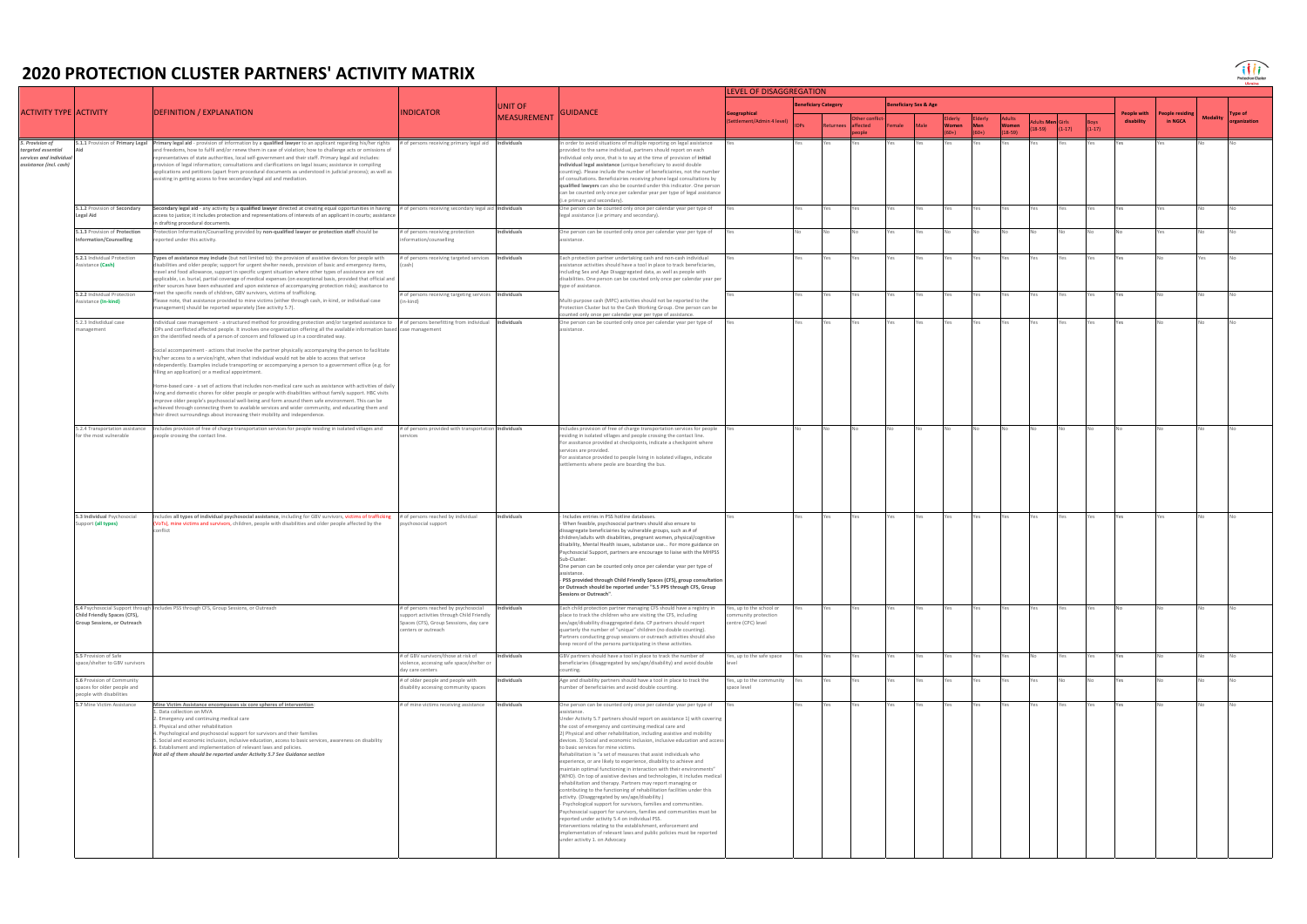## **2020 PROTECTION CLUSTER PARTNERS' ACTIVITY MATRIX**

|                                                                                             |                                                                                       |                                                                                                                                                                                                                                                                                                                                                                                                                                                                                                                                                                                                                                                                            | <b>LEVEL OF DISAGGREGATION</b>                                                                                                                  |                    |                                                                                                                                                                                                                                                                                                                                                                                                                                                                                                                                                                                                                                                                                                                                                                                                                                                                                                                                                                                                                                                                                                                                                                                                                                                                                     |                                                                      |     |            |                                  |       |     |                 |                           |                                     |                                             |     |                         |                                  |                          |                 |                         |
|---------------------------------------------------------------------------------------------|---------------------------------------------------------------------------------------|----------------------------------------------------------------------------------------------------------------------------------------------------------------------------------------------------------------------------------------------------------------------------------------------------------------------------------------------------------------------------------------------------------------------------------------------------------------------------------------------------------------------------------------------------------------------------------------------------------------------------------------------------------------------------|-------------------------------------------------------------------------------------------------------------------------------------------------|--------------------|-------------------------------------------------------------------------------------------------------------------------------------------------------------------------------------------------------------------------------------------------------------------------------------------------------------------------------------------------------------------------------------------------------------------------------------------------------------------------------------------------------------------------------------------------------------------------------------------------------------------------------------------------------------------------------------------------------------------------------------------------------------------------------------------------------------------------------------------------------------------------------------------------------------------------------------------------------------------------------------------------------------------------------------------------------------------------------------------------------------------------------------------------------------------------------------------------------------------------------------------------------------------------------------|----------------------------------------------------------------------|-----|------------|----------------------------------|-------|-----|-----------------|---------------------------|-------------------------------------|---------------------------------------------|-----|-------------------------|----------------------------------|--------------------------|-----------------|-------------------------|
|                                                                                             |                                                                                       | DEFINITION / EXPLANATION                                                                                                                                                                                                                                                                                                                                                                                                                                                                                                                                                                                                                                                   |                                                                                                                                                 | UNIT OF            |                                                                                                                                                                                                                                                                                                                                                                                                                                                                                                                                                                                                                                                                                                                                                                                                                                                                                                                                                                                                                                                                                                                                                                                                                                                                                     | eneficiary Category<br><b>Beneficiary Sex &amp; Age</b>              |     |            |                                  |       |     |                 |                           |                                     |                                             |     |                         |                                  |                          |                 |                         |
| <b>ACTIVITY TYPE ACTIVITY</b>                                                               |                                                                                       |                                                                                                                                                                                                                                                                                                                                                                                                                                                                                                                                                                                                                                                                            | <b>INDICATOR</b>                                                                                                                                | <b>MEASUREMENT</b> | <b>GUIDANCE</b>                                                                                                                                                                                                                                                                                                                                                                                                                                                                                                                                                                                                                                                                                                                                                                                                                                                                                                                                                                                                                                                                                                                                                                                                                                                                     | ographical<br>ettlement/Admin 4 level]                               |     |            | <b>Other conflid</b><br>affected | emale |     | Women<br>$60+1$ | Elderly<br>Men<br>$(60+)$ | Adults<br><b>Women</b><br>$(18-59)$ | lts <b>Menl</b> Girls<br>$(18-59)$ $(1-17)$ |     | <b>Boys</b><br>$(1-17)$ | <b>People with</b><br>disability | eople residin<br>in NGCA | <b>Modality</b> | Type of<br>organization |
| 5. Provision of<br>targeted essential<br>services and individual<br>assistance (incl. cash) |                                                                                       | 5.1.1 Provision of Primary Legal Primary legal aid - provision of information by a qualified lawyer to an applicant regarding his/her rights<br>and freedoms, how to fulfil and/or renew them in case of violation; how to challenge acts or omissions of<br>representatives of state authorities, local self-government and their staff. Primary legal aid includes:<br>provision of legal information; consultations and clarifications on legal issues; assistance in compiling<br>applications and petitions (apart from procedural documents as understood in judicial process); as well as<br>assisting in getting access to free secondary legal aid and mediation. | # of persons receiving primary legal aid  Individuals                                                                                           |                    | In order to avoid situations of multiple reporting on legal assistance<br>provided to the same individual, partners should report on each<br>individual only once, that is to say at the time of provision of initial<br>individual legal assistance (unique beneficiary to avoid double<br>counting). Please include the number of beneficiairies, not the number<br>of consultations. Beneficiairies receiving phone legal consultations by<br>qualified lawyers can also be counted under this indicator. One person<br>can be counted only once per calendar year per type of legal assistance<br>(i.e primary and secondary).                                                                                                                                                                                                                                                                                                                                                                                                                                                                                                                                                                                                                                                  |                                                                      |     |            |                                  |       |     |                 |                           |                                     |                                             |     | Yes                     |                                  |                          |                 |                         |
|                                                                                             | 5.1.2 Provision of Secondary<br>Legal Aid                                             | Secondary legal aid - any activity by a qualified lawyer directed at creating equal opportunities in having<br>access to justice; it includes protection and representations of interests of an applicant in courts; assistance<br>in drafting procedural documents.                                                                                                                                                                                                                                                                                                                                                                                                       | of persons receiving secondary legal aid Individuals                                                                                            |                    | One person can be counted only once per calendar year per type of<br>legal assistance (i.e primary and secondary).                                                                                                                                                                                                                                                                                                                                                                                                                                                                                                                                                                                                                                                                                                                                                                                                                                                                                                                                                                                                                                                                                                                                                                  |                                                                      |     |            |                                  |       |     | Yes             | Yes                       | Yes                                 |                                             |     | Yes                     |                                  |                          |                 |                         |
|                                                                                             | 5.1.3 Provision of Protection<br>Information/Counselling                              | Protection Information/Counselling provided by non-qualified lawyer or protection staff should be<br>reported under this activity.                                                                                                                                                                                                                                                                                                                                                                                                                                                                                                                                         | of persons receiving protection<br>formation/counselling                                                                                        | Individuals        | One person can be counted only once per calendar year per type of<br>assistance.                                                                                                                                                                                                                                                                                                                                                                                                                                                                                                                                                                                                                                                                                                                                                                                                                                                                                                                                                                                                                                                                                                                                                                                                    |                                                                      |     |            |                                  |       |     |                 | No.                       |                                     |                                             |     |                         |                                  |                          |                 |                         |
|                                                                                             | 5.2.1 Individual Protection<br>Assistance (Cash)                                      | Types of assistance may include (but not limited to): the provision of assistive devices for people with<br>disabilities and older people; support for urgent shelter needs, provision of basic and emergency items,<br>travel and food allowance, support in specific urgent situation where other types of assistance are not<br>applicable, i.e. burial, partial coverage of medical expenses (on exceptional basis, provided that official and<br>other sources have been exhausted and upon existence of accompanying protection risks); asssitance to                                                                                                                | of persons receiving targeted services  Individuals<br>(cash)                                                                                   |                    | Each protection partner undertaking cash and non-cash individual<br>assistance activities should have a tool in place to track beneficiaries,<br>including Sex and Age Disaggregated data, as well as people with<br>disabilities. One person can be counted only once per calendar year per<br>type of assistance.                                                                                                                                                                                                                                                                                                                                                                                                                                                                                                                                                                                                                                                                                                                                                                                                                                                                                                                                                                 |                                                                      |     |            |                                  |       |     | Yes             | Yes                       | Yes                                 | Yes                                         | Yes | Yes                     |                                  |                          |                 |                         |
|                                                                                             | 5.2.2 Individual Protection<br>Assistance (In-kind)                                   | meet the specific needs of children, GBV survivors, victims of trafficking.<br>Please note, that assistance provided to mine victims (either through cash, in-kind, or individual case<br>management) should be reported separately (See activity 5.7).                                                                                                                                                                                                                                                                                                                                                                                                                    | of persons receiving targeting services Individuals<br>in-kind)                                                                                 |                    | Multi-purpose cash (MPC) activities should not be reported to the<br>Protection Cluster but to the Cash Working Group. One person can be<br>counted only once per calendar year per type of assistance.                                                                                                                                                                                                                                                                                                                                                                                                                                                                                                                                                                                                                                                                                                                                                                                                                                                                                                                                                                                                                                                                             |                                                                      |     | <b>Yes</b> | Yes                              | Yes   | Yes | Yes             | Yes                       | Yes                                 | Yes                                         | Yes | Yes                     |                                  |                          |                 |                         |
|                                                                                             | 5.2.3 Indivdidual case<br>management                                                  | Individual case management - a structured method for providing protection and/or targeted assistance to<br>IDPs and conflicted affected people. It involves one organization offering all the available information based case management<br>on the identified needs of a person of concern and followed up in a coordinated way.                                                                                                                                                                                                                                                                                                                                          | # of persons benefitting from individual   Individuals                                                                                          |                    | One person can be counted only once per calendar year per type of<br>assistance.                                                                                                                                                                                                                                                                                                                                                                                                                                                                                                                                                                                                                                                                                                                                                                                                                                                                                                                                                                                                                                                                                                                                                                                                    |                                                                      |     | Yes        |                                  |       |     | Yes             | Yes                       | Yes                                 |                                             |     | Yes                     |                                  |                          |                 |                         |
|                                                                                             |                                                                                       | Social accompaniment - actions that involve the partner physically accompanying the person to facilitate<br>his/her access to a service/right, when that individual would not be able to access that serivce<br>independently. Examples include transporting or accompanying a person to a government office (e.g. for<br>filling an application) or a medical appointment.                                                                                                                                                                                                                                                                                                |                                                                                                                                                 |                    |                                                                                                                                                                                                                                                                                                                                                                                                                                                                                                                                                                                                                                                                                                                                                                                                                                                                                                                                                                                                                                                                                                                                                                                                                                                                                     |                                                                      |     |            |                                  |       |     |                 |                           |                                     |                                             |     |                         |                                  |                          |                 |                         |
|                                                                                             |                                                                                       | Home-based care - a set of actions that includes non-medical care such as assistance with activities of daily<br>living and domestic chores for older people or people with disabilities without family support. HBC visits<br>improve older people's psychosocial well-being and form around them safe environment. This can be<br>achieved through connecting them to available services and wider community, and educating them and<br>their direct surroundings about increasing their mobility and independence.                                                                                                                                                      |                                                                                                                                                 |                    |                                                                                                                                                                                                                                                                                                                                                                                                                                                                                                                                                                                                                                                                                                                                                                                                                                                                                                                                                                                                                                                                                                                                                                                                                                                                                     |                                                                      |     |            |                                  |       |     |                 |                           |                                     |                                             |     |                         |                                  |                          |                 |                         |
|                                                                                             | for the most vulnerable                                                               | 5.2.4 Transportation assistance   Includes provision of free of charge transportation services for people residing in isolated villages and<br>people crossing the contact line.                                                                                                                                                                                                                                                                                                                                                                                                                                                                                           | of persons provided with transportation Individuals<br>ervices                                                                                  |                    | Includes provision of free of charge transportation services for people<br>residing in isolated villages and people crossing the contact line.<br>For asssitance provided at checkpoints, indicate a checkpoint where<br>ervices are provided.<br>or assistance provided to people living in isolated villages, indicate<br>settlements where peole are boarding the bus.                                                                                                                                                                                                                                                                                                                                                                                                                                                                                                                                                                                                                                                                                                                                                                                                                                                                                                           |                                                                      |     |            |                                  |       |     |                 |                           |                                     |                                             |     |                         |                                  |                          |                 |                         |
|                                                                                             | 5.3 Individual Psychosocial<br>Support (all types)                                    | Includes all types of individual psychosocial assistance, including for GBV survivors, victims of trafficking<br>(VoTs), mine victims and survivors, children, people with disabilities and older people affected by the<br>conflict                                                                                                                                                                                                                                                                                                                                                                                                                                       | # of persons reached by individual<br>sychosocial support                                                                                       | Individuals        | Includes entries in PSS hotline databases.<br>- When feasible, psychosocial partners should also ensure to<br>dissagregate beneficiairies by vulnerable groups, such as # of<br>children/adults with disabilities, pregnant women, physical/cognitive<br>disability, Mental Health issues, substance use For more guidance on<br>Psychosocial Support, partners are encourage to liaise with the MHPSS<br>Sub-Cluster.<br>One person can be counted only once per calendar year per type of<br>assistance.<br>PSS provided through Child Friendly Spaces (CFS), group consultation<br>or Outreach should be reported under "5.5 PPS through CFS, Group<br>Sessions or Outreach".                                                                                                                                                                                                                                                                                                                                                                                                                                                                                                                                                                                                    |                                                                      |     | Yes        |                                  | Yes   | Yes | Yes             | Yes                       | Yes                                 | Yes                                         | Yes | Yes                     | Yes                              |                          |                 |                         |
|                                                                                             | Child Friendly Spaces (CFS),<br>Group Sessions, or Outreach                           | 5.4 Psychosocial Support through Includes PSS through CFS, Group Sessions, or Outreach                                                                                                                                                                                                                                                                                                                                                                                                                                                                                                                                                                                     | of persons reached by psychosocial<br>upport activities through Child Friendly<br>ipaces (CFS), Group Sesssions, day care<br>enters or outreach | Individuals        | Each child protection partner managing CFS should have a registry in<br>place to track the children who are visiting the CFS, including<br>sex/age/disability disaggregated data. CP partners should report<br>quarterly the number of "unique" children (no double counting).<br>Partners conducting group sessions or outreach activities should also<br>keep record of the persons participating in these activities.                                                                                                                                                                                                                                                                                                                                                                                                                                                                                                                                                                                                                                                                                                                                                                                                                                                            | Yes, up to the school or<br>mmunity protection<br>centre (CPC) level |     |            |                                  |       |     | Yes             | Yes                       | Yes                                 |                                             |     | Yes                     |                                  |                          |                 |                         |
|                                                                                             | 5.5 Provision of Safe<br>space/shelter to GBV survivors                               |                                                                                                                                                                                                                                                                                                                                                                                                                                                                                                                                                                                                                                                                            | of GBV survivors/those at risk of<br>riolence, accessing safe space/shelter or<br>lay care centers                                              | Individuals        | GBV partners should have a tool in place to track the number of<br>beneficiaries (disaggregated by sex/age/disability) and avoid double<br>ounting.                                                                                                                                                                                                                                                                                                                                                                                                                                                                                                                                                                                                                                                                                                                                                                                                                                                                                                                                                                                                                                                                                                                                 | 'es, up to the safe space                                            |     | Yes        |                                  | Yes   | Yes | Yes             | Yes                       | Yes                                 | No                                          | Yes | Yes                     |                                  |                          |                 |                         |
|                                                                                             | 5.6 Provision of Community<br>spaces for older people and<br>people with disabilities |                                                                                                                                                                                                                                                                                                                                                                                                                                                                                                                                                                                                                                                                            | of older people and people with<br>isability accessing community spaces                                                                         | Individuals        | Age and disability partners should have a tool in place to track the<br>number of beneficiairies and avoid double counting.                                                                                                                                                                                                                                                                                                                                                                                                                                                                                                                                                                                                                                                                                                                                                                                                                                                                                                                                                                                                                                                                                                                                                         | es, up to the community<br>pace level                                | Yes |            |                                  |       |     | Yes             | Yes                       | Yes                                 |                                             |     |                         |                                  |                          |                 |                         |
|                                                                                             | 5.7 Mine Victim Assistance                                                            | Mine Victim Assistance encompasses six core spheres of intervention:<br>L. Data collection on MVA<br>2. Emergency and continuing medical care<br>. Physical and other rehabilitation<br>1. Psychological and psychosocial support for survivors and their families<br>5. Social and economic inclusion, inclusive education, access to basic services, awareness on disability<br>6. Establisment and implementation of relevant laws and policies.<br>Not all of them should be reported under Activity 5.7 See Guidance section                                                                                                                                          | of mine victims receiving assistance                                                                                                            | Individuals        | One person can be counted only once per calendar year per type of<br>assistance.<br>Under Activity 5.7 partners should report on assistance 1) with covering<br>the cost of emergency and continuing medical care and<br>2) Physical and other rehabilitation, including assistive and mobility<br>devices. 3) Social and economic inclusion, inclusive education and access<br>to basic services for mine victims.<br>Rehabilitation is "a set of measures that assist individuals who<br>experience, or are likely to experience, disability to achieve and<br>maintain optimal functioning in interaction with their environments"<br>(WHO). On top of assistive devises and technologies, it includes medical<br>rehabilitation and therapy. Partners may report managing or<br>contributing to the functioning of rehabilitation facilities under this<br>activity. (Disaggregated by sex/age/disability.)<br>Psychological support for survivors, families and communities.<br>Psychosocial support for survivors, families and communities must be<br>reported under activity 5.4 on individual PSS.<br>Interventions relating to the establishment, enforcement and<br>mplementation of relevant laws and public policies must be reported<br>under activity 1. on Advocacy |                                                                      |     | Yes        |                                  | Yes   | Yes | Yes             | Yes                       | Yes                                 | Yes                                         | Yes | Yes                     |                                  |                          |                 |                         |